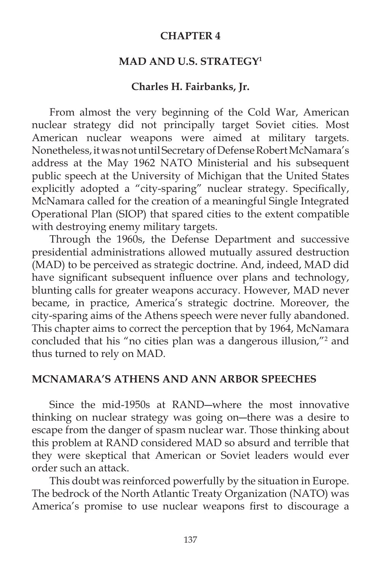## **CHAPTER 4**

## **MAD AND U.S. STRATEGY1**

#### **Charles H. Fairbanks, Jr.**

 From almost the very beginning of the Cold War, American nuclear strategy did not principally target Soviet cities. Most American nuclear weapons were aimed at military targets. Nonetheless, it was not until Secretary of Defense Robert McNamara's address at the May 1962 NATO Ministerial and his subsequent public speech at the University of Michigan that the United States explicitly adopted a "city-sparing" nuclear strategy. Specifically, McNamara called for the creation of a meaningful Single Integrated Operational Plan (SIOP) that spared cities to the extent compatible with destroying enemy military targets.

 Through the 1960s, the Defense Department and successive presidential administrations allowed mutually assured destruction (MAD) to be perceived as strategic doctrine. And, indeed, MAD did have significant subsequent influence over plans and technology, blunting calls for greater weapons accuracy. However, MAD never became, in practice, America's strategic doctrine. Moreover, the city-sparing aims of the Athens speech were never fully abandoned. This chapter aims to correct the perception that by 1964, McNamara concluded that his "no cities plan was a dangerous illusion,"2 and thus turned to rely on MAD.

## **MCNAMARA'S ATHENS AND ANN ARBOR SPEECHES**

 Since the mid-1950s at RAND―where the most innovative thinking on nuclear strategy was going on―there was a desire to escape from the danger of spasm nuclear war. Those thinking about this problem at RAND considered MAD so absurd and terrible that they were skeptical that American or Soviet leaders would ever order such an attack.

 This doubt was reinforced powerfully by the situation in Europe. The bedrock of the North Atlantic Treaty Organization (NATO) was America's promise to use nuclear weapons first to discourage a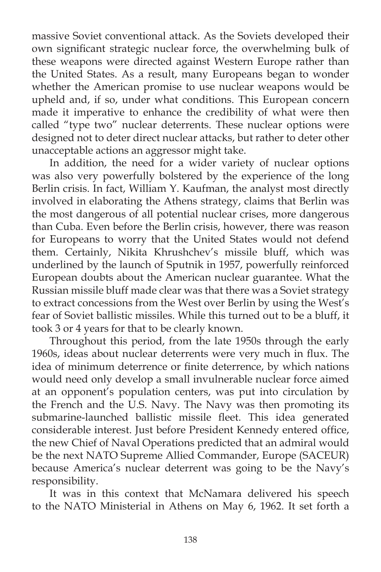massive Soviet conventional attack. As the Soviets developed their own significant strategic nuclear force, the overwhelming bulk of these weapons were directed against Western Europe rather than the United States. As a result, many Europeans began to wonder whether the American promise to use nuclear weapons would be upheld and, if so, under what conditions. This European concern made it imperative to enhance the credibility of what were then called "type two" nuclear deterrents. These nuclear options were designed not to deter direct nuclear attacks, but rather to deter other unacceptable actions an aggressor might take.

 In addition, the need for a wider variety of nuclear options was also very powerfully bolstered by the experience of the long Berlin crisis. In fact, William Y. Kaufman, the analyst most directly involved in elaborating the Athens strategy, claims that Berlin was the most dangerous of all potential nuclear crises, more dangerous than Cuba. Even before the Berlin crisis, however, there was reason for Europeans to worry that the United States would not defend them. Certainly, Nikita Khrushchev's missile bluff, which was underlined by the launch of Sputnik in 1957, powerfully reinforced European doubts about the American nuclear guarantee. What the Russian missile bluff made clear was that there was a Soviet strategy to extract concessions from the West over Berlin by using the West's fear of Soviet ballistic missiles. While this turned out to be a bluff, it took 3 or 4 years for that to be clearly known.

 Throughout this period, from the late 1950s through the early 1960s, ideas about nuclear deterrents were very much in flux. The idea of minimum deterrence or finite deterrence, by which nations would need only develop a small invulnerable nuclear force aimed at an opponent's population centers, was put into circulation by the French and the U.S. Navy. The Navy was then promoting its submarine-launched ballistic missile fleet. This idea generated considerable interest. Just before President Kennedy entered office, the new Chief of Naval Operations predicted that an admiral would be the next NATO Supreme Allied Commander, Europe (SACEUR) because America's nuclear deterrent was going to be the Navy's responsibility.

 It was in this context that McNamara delivered his speech to the NATO Ministerial in Athens on May 6, 1962. It set forth a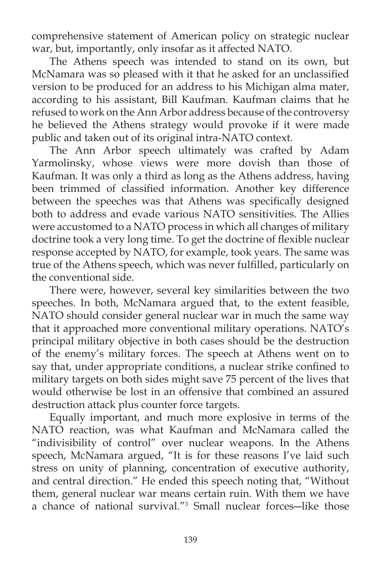comprehensive statement of American policy on strategic nuclear war, but, importantly, only insofar as it affected NATO.

 The Athens speech was intended to stand on its own, but McNamara was so pleased with it that he asked for an unclassified version to be produced for an address to his Michigan alma mater, according to his assistant, Bill Kaufman. Kaufman claims that he refused to work on the Ann Arbor address because of the controversy he believed the Athens strategy would provoke if it were made public and taken out of its original intra-NATO context.

 The Ann Arbor speech ultimately was crafted by Adam Yarmolinsky, whose views were more dovish than those of Kaufman. It was only a third as long as the Athens address, having been trimmed of classified information. Another key difference between the speeches was that Athens was specifically designed both to address and evade various NATO sensitivities. The Allies were accustomed to a NATO process in which all changes of military doctrine took a very long time. To get the doctrine of flexible nuclear response accepted by NATO, for example, took years. The same was true of the Athens speech, which was never fulfilled, particularly on the conventional side.

 There were, however, several key similarities between the two speeches. In both, McNamara argued that, to the extent feasible, NATO should consider general nuclear war in much the same way that it approached more conventional military operations. NATO's principal military objective in both cases should be the destruction of the enemy's military forces. The speech at Athens went on to say that, under appropriate conditions, a nuclear strike confined to military targets on both sides might save 75 percent of the lives that would otherwise be lost in an offensive that combined an assured destruction attack plus counter force targets.

 Equally important, and much more explosive in terms of the NATO reaction, was what Kaufman and McNamara called the "indivisibility of control" over nuclear weapons. In the Athens speech, McNamara argued, "It is for these reasons I've laid such stress on unity of planning, concentration of executive authority, and central direction." He ended this speech noting that, "Without them, general nuclear war means certain ruin. With them we have a chance of national survival."3 Small nuclear forces―like those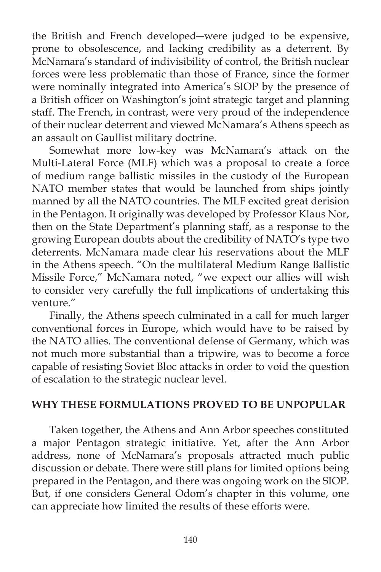the British and French developed―were judged to be expensive, prone to obsolescence, and lacking credibility as a deterrent. By McNamara's standard of indivisibility of control, the British nuclear forces were less problematic than those of France, since the former were nominally integrated into America's SIOP by the presence of a British officer on Washington's joint strategic target and planning staff. The French, in contrast, were very proud of the independence of their nuclear deterrent and viewed McNamara's Athens speech as an assault on Gaullist military doctrine.

 Somewhat more low-key was McNamara's attack on the Multi-Lateral Force (MLF) which was a proposal to create a force of medium range ballistic missiles in the custody of the European NATO member states that would be launched from ships jointly manned by all the NATO countries. The MLF excited great derision in the Pentagon. It originally was developed by Professor Klaus Nor, then on the State Department's planning staff, as a response to the growing European doubts about the credibility of NATO's type two deterrents. McNamara made clear his reservations about the MLF in the Athens speech. "On the multilateral Medium Range Ballistic Missile Force," McNamara noted, "we expect our allies will wish to consider very carefully the full implications of undertaking this venture."

 Finally, the Athens speech culminated in a call for much larger conventional forces in Europe, which would have to be raised by the NATO allies. The conventional defense of Germany, which was not much more substantial than a tripwire, was to become a force capable of resisting Soviet Bloc attacks in order to void the question of escalation to the strategic nuclear level.

## **WHY THESE FORMULATIONS PROVED TO BE UNPOPULAR**

Taken together, the Athens and Ann Arbor speeches constituted a major Pentagon strategic initiative. Yet, after the Ann Arbor address, none of McNamara's proposals attracted much public discussion or debate. There were still plans for limited options being prepared in the Pentagon, and there was ongoing work on the SIOP. But, if one considers General Odom's chapter in this volume, one can appreciate how limited the results of these efforts were.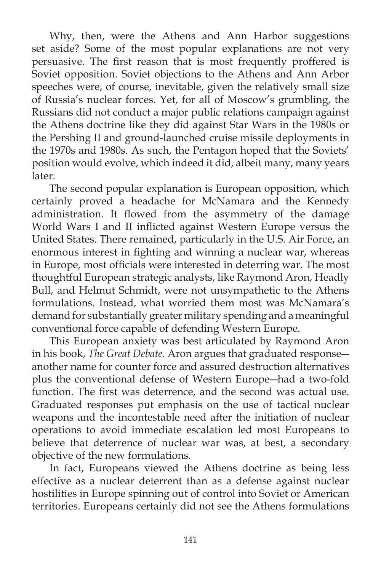Why, then, were the Athens and Ann Harbor suggestions set aside? Some of the most popular explanations are not very persuasive. The first reason that is most frequently proffered is Soviet opposition. Soviet objections to the Athens and Ann Arbor speeches were, of course, inevitable, given the relatively small size of Russia's nuclear forces. Yet, for all of Moscow's grumbling, the Russians did not conduct a major public relations campaign against the Athens doctrine like they did against Star Wars in the 1980s or the Pershing II and ground-launched cruise missile deployments in the 1970s and 1980s. As such, the Pentagon hoped that the Soviets' position would evolve, which indeed it did, albeit many, many years later.

 The second popular explanation is European opposition, which certainly proved a headache for McNamara and the Kennedy administration. It flowed from the asymmetry of the damage World Wars I and II inflicted against Western Europe versus the United States. There remained, particularly in the U.S. Air Force, an enormous interest in fighting and winning a nuclear war, whereas in Europe, most officials were interested in deterring war. The most thoughtful European strategic analysts, like Raymond Aron, Headly Bull, and Helmut Schmidt, were not unsympathetic to the Athens formulations. Instead, what worried them most was McNamara's demand for substantially greater military spending and a meaningful conventional force capable of defending Western Europe.

 This European anxiety was best articulated by Raymond Aron in his book, *The Great Debate*. Aron argues that graduated response― another name for counter force and assured destruction alternatives plus the conventional defense of Western Europe―had a two-fold function. The first was deterrence, and the second was actual use. Graduated responses put emphasis on the use of tactical nuclear weapons and the incontestable need after the initiation of nuclear operations to avoid immediate escalation led most Europeans to believe that deterrence of nuclear war was, at best, a secondary objective of the new formulations.

 In fact, Europeans viewed the Athens doctrine as being less effective as a nuclear deterrent than as a defense against nuclear hostilities in Europe spinning out of control into Soviet or American territories. Europeans certainly did not see the Athens formulations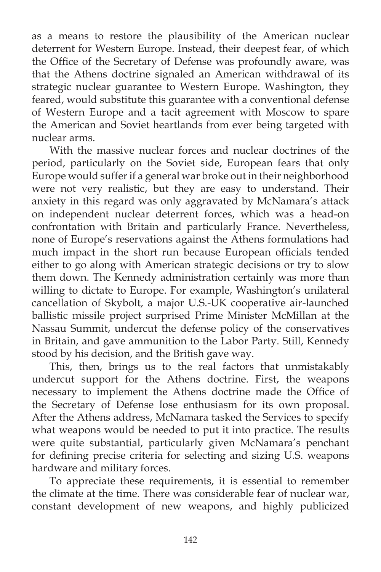as a means to restore the plausibility of the American nuclear deterrent for Western Europe. Instead, their deepest fear, of which the Office of the Secretary of Defense was profoundly aware, was that the Athens doctrine signaled an American withdrawal of its strategic nuclear guarantee to Western Europe. Washington, they feared, would substitute this guarantee with a conventional defense of Western Europe and a tacit agreement with Moscow to spare the American and Soviet heartlands from ever being targeted with nuclear arms.

 With the massive nuclear forces and nuclear doctrines of the period, particularly on the Soviet side, European fears that only Europe would suffer if a general war broke out in their neighborhood were not very realistic, but they are easy to understand. Their anxiety in this regard was only aggravated by McNamara's attack on independent nuclear deterrent forces, which was a head-on confrontation with Britain and particularly France. Nevertheless, none of Europe's reservations against the Athens formulations had much impact in the short run because European officials tended either to go along with American strategic decisions or try to slow them down. The Kennedy administration certainly was more than willing to dictate to Europe. For example, Washington's unilateral cancellation of Skybolt, a major U.S.-UK cooperative air-launched ballistic missile project surprised Prime Minister McMillan at the Nassau Summit, undercut the defense policy of the conservatives in Britain, and gave ammunition to the Labor Party. Still, Kennedy stood by his decision, and the British gave way.

 This, then, brings us to the real factors that unmistakably undercut support for the Athens doctrine. First, the weapons necessary to implement the Athens doctrine made the Office of the Secretary of Defense lose enthusiasm for its own proposal. After the Athens address, McNamara tasked the Services to specify what weapons would be needed to put it into practice. The results were quite substantial, particularly given McNamara's penchant for defining precise criteria for selecting and sizing U.S. weapons hardware and military forces.

 To appreciate these requirements, it is essential to remember the climate at the time. There was considerable fear of nuclear war, constant development of new weapons, and highly publicized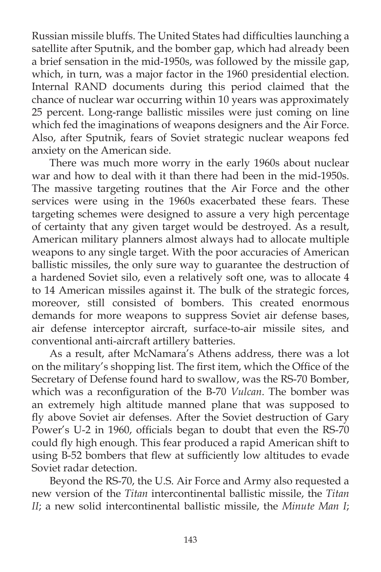Russian missile bluffs. The United States had difficulties launching a satellite after Sputnik, and the bomber gap, which had already been a brief sensation in the mid-1950s, was followed by the missile gap, which, in turn, was a major factor in the 1960 presidential election. Internal RAND documents during this period claimed that the chance of nuclear war occurring within 10 years was approximately 25 percent. Long-range ballistic missiles were just coming on line which fed the imaginations of weapons designers and the Air Force. Also, after Sputnik, fears of Soviet strategic nuclear weapons fed anxiety on the American side.

 There was much more worry in the early 1960s about nuclear war and how to deal with it than there had been in the mid-1950s. The massive targeting routines that the Air Force and the other services were using in the 1960s exacerbated these fears. These targeting schemes were designed to assure a very high percentage of certainty that any given target would be destroyed. As a result, American military planners almost always had to allocate multiple weapons to any single target. With the poor accuracies of American ballistic missiles, the only sure way to guarantee the destruction of a hardened Soviet silo, even a relatively soft one, was to allocate 4 to 14 American missiles against it. The bulk of the strategic forces, moreover, still consisted of bombers. This created enormous demands for more weapons to suppress Soviet air defense bases, air defense interceptor aircraft, surface-to-air missile sites, and conventional anti-aircraft artillery batteries.

 As a result, after McNamara's Athens address, there was a lot on the military's shopping list. The first item, which the Office of the Secretary of Defense found hard to swallow, was the RS-70 Bomber, which was a reconfiguration of the B-70 *Vulcan*. The bomber was an extremely high altitude manned plane that was supposed to fly above Soviet air defenses. After the Soviet destruction of Gary Power's U-2 in 1960, officials began to doubt that even the RS-70 could fly high enough. This fear produced a rapid American shift to using B-52 bombers that flew at sufficiently low altitudes to evade Soviet radar detection.

 Beyond the RS-70, the U.S. Air Force and Army also requested a new version of the *Titan* intercontinental ballistic missile, the *Titan II*; a new solid intercontinental ballistic missile, the *Minute Man I*;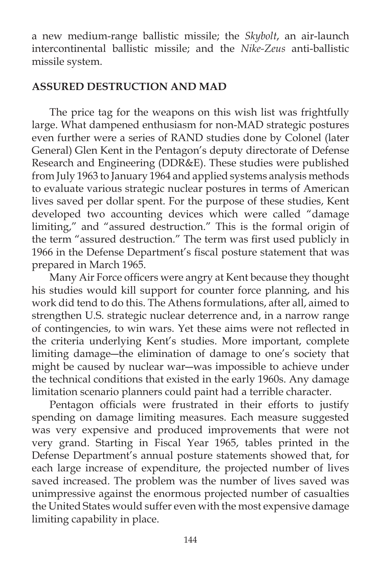a new medium-range ballistic missile; the *Skybolt*, an air-launch intercontinental ballistic missile; and the *Nike-Zeus* anti-ballistic missile system.

# **ASSURED DESTRUCTION AND MAD**

The price tag for the weapons on this wish list was frightfully large. What dampened enthusiasm for non-MAD strategic postures even further were a series of RAND studies done by Colonel (later General) Glen Kent in the Pentagon's deputy directorate of Defense Research and Engineering (DDR&E). These studies were published from July 1963 to January 1964 and applied systems analysis methods to evaluate various strategic nuclear postures in terms of American lives saved per dollar spent. For the purpose of these studies, Kent developed two accounting devices which were called "damage limiting," and "assured destruction." This is the formal origin of the term "assured destruction." The term was first used publicly in 1966 in the Defense Department's fiscal posture statement that was prepared in March 1965.

Many Air Force officers were angry at Kent because they thought his studies would kill support for counter force planning, and his work did tend to do this. The Athens formulations, after all, aimed to strengthen U.S. strategic nuclear deterrence and, in a narrow range of contingencies, to win wars. Yet these aims were not reflected in the criteria underlying Kent's studies. More important, complete limiting damage―the elimination of damage to one's society that might be caused by nuclear war―was impossible to achieve under the technical conditions that existed in the early 1960s. Any damage limitation scenario planners could paint had a terrible character.

Pentagon officials were frustrated in their efforts to justify spending on damage limiting measures. Each measure suggested was very expensive and produced improvements that were not very grand. Starting in Fiscal Year 1965, tables printed in the Defense Department's annual posture statements showed that, for each large increase of expenditure, the projected number of lives saved increased. The problem was the number of lives saved was unimpressive against the enormous projected number of casualties the United States would suffer even with the most expensive damage limiting capability in place.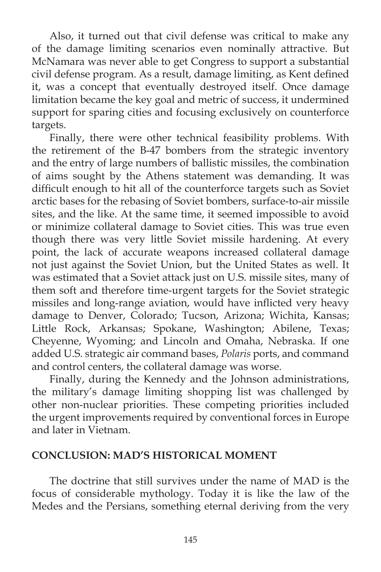Also, it turned out that civil defense was critical to make any of the damage limiting scenarios even nominally attractive. But McNamara was never able to get Congress to support a substantial civil defense program. As a result, damage limiting, as Kent defined it, was a concept that eventually destroyed itself. Once damage limitation became the key goal and metric of success, it undermined support for sparing cities and focusing exclusively on counterforce targets.

 Finally, there were other technical feasibility problems. With the retirement of the B-47 bombers from the strategic inventory and the entry of large numbers of ballistic missiles, the combination of aims sought by the Athens statement was demanding. It was difficult enough to hit all of the counterforce targets such as Soviet arctic bases for the rebasing of Soviet bombers, surface-to-air missile sites, and the like. At the same time, it seemed impossible to avoid or minimize collateral damage to Soviet cities. This was true even though there was very little Soviet missile hardening. At every point, the lack of accurate weapons increased collateral damage not just against the Soviet Union, but the United States as well. It was estimated that a Soviet attack just on U.S. missile sites, many of them soft and therefore time-urgent targets for the Soviet strategic missiles and long-range aviation, would have inflicted very heavy damage to Denver, Colorado; Tucson, Arizona; Wichita, Kansas; Little Rock, Arkansas; Spokane, Washington; Abilene, Texas; Cheyenne, Wyoming; and Lincoln and Omaha, Nebraska. If one added U.S. strategic air command bases, *Polaris* ports, and command and control centers, the collateral damage was worse.

 Finally, during the Kennedy and the Johnson administrations, the military's damage limiting shopping list was challenged by other non-nuclear priorities. These competing priorities included the urgent improvements required by conventional forces in Europe and later in Vietnam.

#### **CONCLUSION: MAD'S HISTORICAL MOMENT**

The doctrine that still survives under the name of MAD is the focus of considerable mythology. Today it is like the law of the Medes and the Persians, something eternal deriving from the very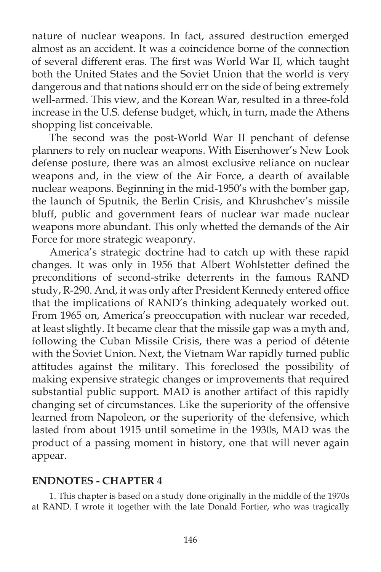nature of nuclear weapons. In fact, assured destruction emerged almost as an accident. It was a coincidence borne of the connection of several different eras. The first was World War II, which taught both the United States and the Soviet Union that the world is very dangerous and that nations should err on the side of being extremely well-armed. This view, and the Korean War, resulted in a three-fold increase in the U.S. defense budget, which, in turn, made the Athens shopping list conceivable.

 The second was the post-World War II penchant of defense planners to rely on nuclear weapons. With Eisenhower's New Look defense posture, there was an almost exclusive reliance on nuclear weapons and, in the view of the Air Force, a dearth of available nuclear weapons. Beginning in the mid-1950's with the bomber gap, the launch of Sputnik, the Berlin Crisis, and Khrushchev's missile bluff, public and government fears of nuclear war made nuclear weapons more abundant. This only whetted the demands of the Air Force for more strategic weaponry.

 America's strategic doctrine had to catch up with these rapid changes. It was only in 1956 that Albert Wohlstetter defined the preconditions of second-strike deterrents in the famous RAND study, R-290. And, it was only after President Kennedy entered office that the implications of RAND's thinking adequately worked out. From 1965 on, America's preoccupation with nuclear war receded, at least slightly. It became clear that the missile gap was a myth and, following the Cuban Missile Crisis, there was a period of détente with the Soviet Union. Next, the Vietnam War rapidly turned public attitudes against the military. This foreclosed the possibility of making expensive strategic changes or improvements that required substantial public support. MAD is another artifact of this rapidly changing set of circumstances. Like the superiority of the offensive learned from Napoleon, or the superiority of the defensive, which lasted from about 1915 until sometime in the 1930s, MAD was the product of a passing moment in history, one that will never again appear.

#### **ENDNOTES - CHAPTER 4**

1. This chapter is based on a study done originally in the middle of the 1970s at RAND. I wrote it together with the late Donald Fortier, who was tragically